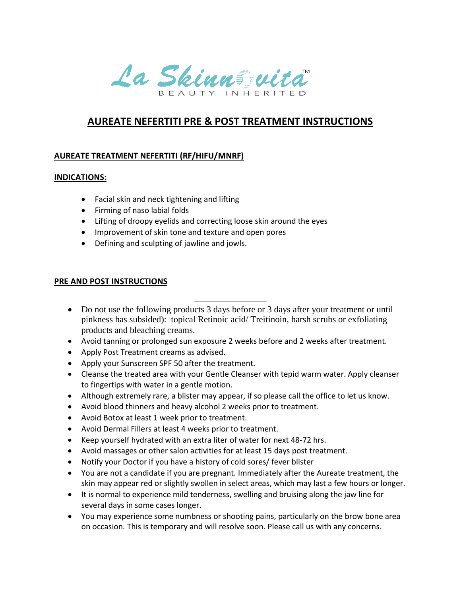

## **AUREATE NEFERTITI PRE & POST TREATMENT INSTRUCTIONS**

## **AUREATE TREATMENT NEFERTITI (RF/HIFU/MNRF)**

## **INDICATIONS:**

- Facial skin and neck tightening and lifting
- Firming of naso labial folds
- Lifting of droopy eyelids and correcting loose skin around the eyes
- Improvement of skin tone and texture and open pores
- Defining and sculpting of jawline and jowls.

## **PRE AND POST INSTRUCTIONS**

- Do not use the following products 3 days before or 3 days after your treatment or until pinkness has subsided): topical Retinoic acid/ Treitinoin, harsh scrubs or exfoliating products and bleaching creams.
- Avoid tanning or prolonged sun exposure 2 weeks before and 2 weeks after treatment.
- Apply Post Treatment creams as advised.
- Apply your Sunscreen SPF 50 after the treatment.
- Cleanse the treated area with your Gentle Cleanser with tepid warm water. Apply cleanser to fingertips with water in a gentle motion.
- Although extremely rare, a blister may appear, if so please call the office to let us know.
- Avoid blood thinners and heavy alcohol 2 weeks prior to treatment.
- Avoid Botox at least 1 week prior to treatment.
- Avoid Dermal Fillers at least 4 weeks prior to treatment.
- Keep yourself hydrated with an extra liter of water for next 48-72 hrs.
- Avoid massages or other salon activities for at least 15 days post treatment.
- Notify your Doctor if you have a history of cold sores/ fever blister
- You are not a candidate if you are pregnant. Immediately after the Aureate treatment, the skin may appear red or slightly swollen in select areas, which may last a few hours or longer.
- It is normal to experience mild tenderness, swelling and bruising along the jaw line for several days in some cases longer.
- You may experience some numbness or shooting pains, particularly on the brow bone area on occasion. This is temporary and will resolve soon. Please call us with any concerns.